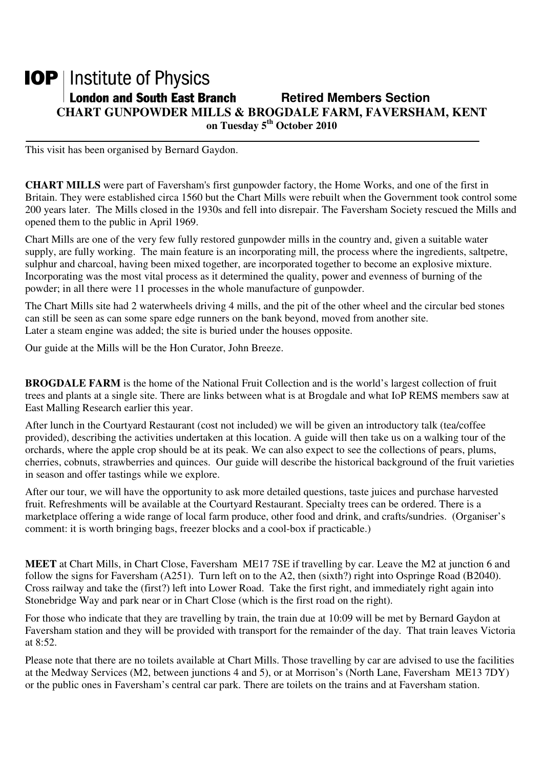## **IOP** | Institute of Physics **London and South East Branch Fighter Section Retired Members Section CHART GUNPOWDER MILLS & BROGDALE FARM, FAVERSHAM, KENT on Tuesday 5th October 2010**

This visit has been organised by Bernard Gaydon.

**CHART MILLS** were part of Faversham's first gunpowder factory, the Home Works, and one of the first in Britain. They were established circa 1560 but the Chart Mills were rebuilt when the Government took control some 200 years later. The Mills closed in the 1930s and fell into disrepair. The Faversham Society rescued the Mills and opened them to the public in April 1969.

Chart Mills are one of the very few fully restored gunpowder mills in the country and, given a suitable water supply, are fully working. The main feature is an incorporating mill, the process where the ingredients, saltpetre, sulphur and charcoal, having been mixed together, are incorporated together to become an explosive mixture. Incorporating was the most vital process as it determined the quality, power and evenness of burning of the powder; in all there were 11 processes in the whole manufacture of gunpowder.

The Chart Mills site had 2 waterwheels driving 4 mills, and the pit of the other wheel and the circular bed stones can still be seen as can some spare edge runners on the bank beyond, moved from another site. Later a steam engine was added; the site is buried under the houses opposite.

Our guide at the Mills will be the Hon Curator, John Breeze.

**BROGDALE FARM** is the home of the National Fruit Collection and is the world's largest collection of fruit trees and plants at a single site. There are links between what is at Brogdale and what IoP REMS members saw at East Malling Research earlier this year.

After lunch in the Courtyard Restaurant (cost not included) we will be given an introductory talk (tea/coffee provided), describing the activities undertaken at this location. A guide will then take us on a walking tour of the orchards, where the apple crop should be at its peak. We can also expect to see the collections of pears, plums, cherries, cobnuts, strawberries and quinces. Our guide will describe the historical background of the fruit varieties in season and offer tastings while we explore.

After our tour, we will have the opportunity to ask more detailed questions, taste juices and purchase harvested fruit. Refreshments will be available at the Courtyard Restaurant. Specialty trees can be ordered. There is a marketplace offering a wide range of local farm produce, other food and drink, and crafts/sundries. (Organiser's comment: it is worth bringing bags, freezer blocks and a cool-box if practicable.)

**MEET** at Chart Mills, in Chart Close, Faversham ME17 7SE if travelling by car. Leave the M2 at junction 6 and follow the signs for Faversham (A251). Turn left on to the A2, then (sixth?) right into Ospringe Road (B2040). Cross railway and take the (first?) left into Lower Road. Take the first right, and immediately right again into Stonebridge Way and park near or in Chart Close (which is the first road on the right).

For those who indicate that they are travelling by train, the train due at 10:09 will be met by Bernard Gaydon at Faversham station and they will be provided with transport for the remainder of the day. That train leaves Victoria at  $8:52$ .

Please note that there are no toilets available at Chart Mills. Those travelling by car are advised to use the facilities at the Medway Services (M2, between junctions 4 and 5), or at Morrison's (North Lane, Faversham ME13 7DY) or the public ones in Faversham's central car park. There are toilets on the trains and at Faversham station.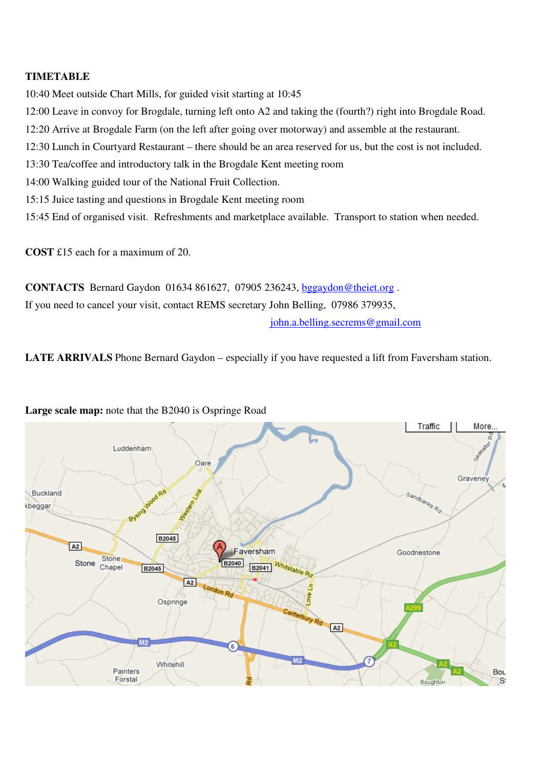## **TIMETABLE**

10:40 Meet outside Chart Mills, for guided visit starting at 10:45

- 12:00 Leave in convoy for Brogdale, turning left onto A2 and taking the (fourth?) right into Brogdale Road.
- 12:20 Arrive at Brogdale Farm (on the left after going over motorway) and assemble at the restaurant.
- 12:30 Lunch in Courtyard Restaurant there should be an area reserved for us, but the cost is not included.
- 13:30 Tea/coffee and introductory talk in the Brogdale Kent meeting room
- 14:00 Walking guided tour of the National Fruit Collection.
- 15:15 Juice tasting and questions in Brogdale Kent meeting room
- 15:45 End of organised visit. Refreshments and marketplace available. Transport to station when needed.

**COST** £15 each for a maximum of 20.

**CONTACTS** Bernard Gaydon 01634 861627, 07905 236243, bggaydon@theiet.org .

If you need to cancel your visit, contact REMS secretary John Belling, 07986 379935,

john.a.belling.secrems@gmail.com

**LATE ARRIVALS** Phone Bernard Gaydon – especially if you have requested a lift from Faversham station.



**Large scale map:** note that the B2040 is Ospringe Road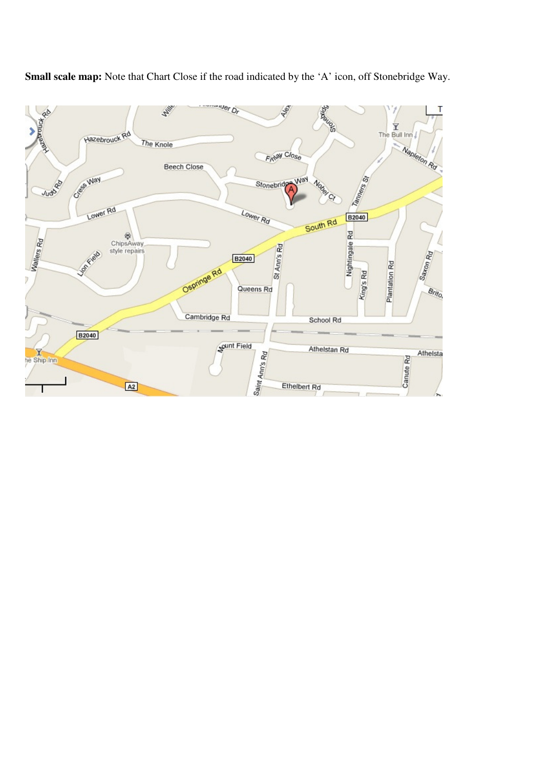

**Small scale map:** Note that Chart Close if the road indicated by the 'A' icon, off Stonebridge Way.